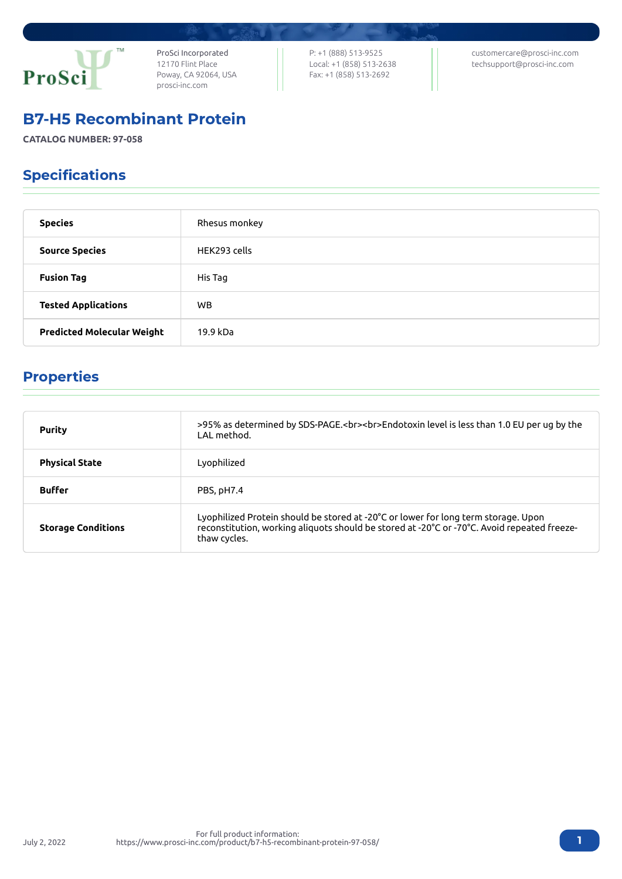

ProSci Incorporated 12170 Flint Place Poway, CA 92064, USA [prosci-inc.com](https://prosci-inc.com/)

P: +1 (888) 513-9525 Local: +1 (858) 513-2638 Fax: +1 (858) 513-2692

[customercare@prosci-inc.com](mailto:customercare@prosci-inc.com) [techsupport@prosci-inc.com](mailto:techsupport@prosci-inc.com)

### B7-H5 Recombinant Protein

**CATALOG NUMBER: 97-058**

# Specifications

| <b>Species</b>                    | Rhesus monkey |
|-----------------------------------|---------------|
| <b>Source Species</b>             | HEK293 cells  |
| <b>Fusion Tag</b>                 | His Tag       |
| <b>Tested Applications</b>        | <b>WB</b>     |
| <b>Predicted Molecular Weight</b> | 19.9 kDa      |

# Properties

| <b>Purity</b>             | >95% as determined by SDS-PAGE.<br><br>>>Endotoxin level is less than 1.0 EU per ug by the<br>LAL method.                                                                                         |
|---------------------------|---------------------------------------------------------------------------------------------------------------------------------------------------------------------------------------------------|
| <b>Physical State</b>     | Lyophilized                                                                                                                                                                                       |
| <b>Buffer</b>             | PBS, pH7.4                                                                                                                                                                                        |
| <b>Storage Conditions</b> | Lyophilized Protein should be stored at -20°C or lower for long term storage. Upon<br>reconstitution, working aliquots should be stored at -20°C or -70°C. Avoid repeated freeze-<br>thaw cycles. |